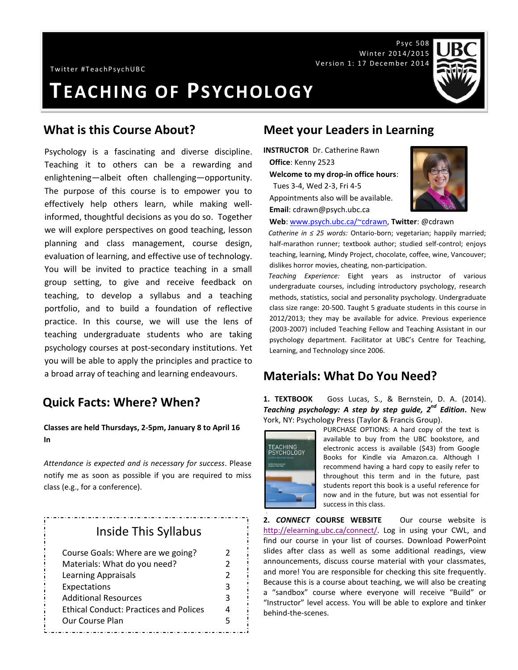Twitter #TeachPsychUBC

Psyc 508 Winter 2014/2015 Version 1: 17 December 2014

# **TEACHING OF PSYCHOLOGY**



Psychology is a fascinating and diverse discipline. Teaching it to others can be a rewarding and enlightening—albeit often challenging—opportunity. The purpose of this course is to empower you to effectively help others learn, while making wellinformed, thoughtful decisions as you do so. Together we will explore perspectives on good teaching, lesson planning and class management, course design, evaluation of learning, and effective use of technology. You will be invited to practice teaching in a small group setting, to give and receive feedback on teaching, to develop a syllabus and a teaching portfolio, and to build a foundation of reflective practice. In this course, we will use the lens of teaching undergraduate students who are taking psychology courses at post-secondary institutions. Yet you will be able to apply the principles and practice to a broad array of teaching and learning endeavours.

# **Quick Facts: Where? When?**

#### **Classes are held Thursdays, 2-5pm, January 8 to April 16 In**

*Attendance is expected and is necessary for success*. Please notify me as soon as possible if you are required to miss class (e.g., for a conference).

# Inside This Syllabus

| Course Goals: Where are we going?             | 2 |
|-----------------------------------------------|---|
| Materials: What do you need?                  | 2 |
| <b>Learning Appraisals</b>                    | 2 |
| Expectations                                  | 3 |
| <b>Additional Resources</b>                   | 3 |
| <b>Ethical Conduct: Practices and Polices</b> | 4 |
| Our Course Plan                               | 5 |
|                                               |   |

## **What is this Course About? Meet your Leaders in Learning**

**INSTRUCTOR** Dr. Catherine Rawn **Office**: Kenny 2523

**Welcome to my drop-in office hours**:

 Tues 3-4, Wed 2-3, Fri 4-5 Appointments also will be available. **Email**: cdrawn@psych.ubc.ca



**Web**: [www.psych.ubc.ca/~cdrawn,](http://www.psych.ubc.ca/~cdrawn) **Twitter**: @cdrawn

*Catherine in ≤ 25 words:* Ontario-born; vegetarian; happily married; half-marathon runner; textbook author; studied self-control; enjoys teaching, learning, Mindy Project, chocolate, coffee, wine, Vancouver; dislikes horror movies, cheating, non-participation.

*Teaching Experience:* Eight years as instructor of various undergraduate courses, including introductory psychology, research methods, statistics, social and personality psychology. Undergraduate class size range: 20-500. Taught 5 graduate students in this course in 2012/2013; they may be available for advice. Previous experience (2003-2007) included Teaching Fellow and Teaching Assistant in our psychology department. Facilitator at UBC's Centre for Teaching, Learning, and Technology since 2006.

# **Materials: What Do You Need?**

**1. TEXTBOOK** Goss Lucas, S., & Bernstein, D. A. (2014). *Teaching psychology: A step by step guide, 2nd Edition***.** New York, NY: Psychology Press (Taylor & Francis Group).



.

PURCHASE OPTIONS: A hard copy of the text is available to buy from the UBC bookstore, and electronic access is available (\$43) from Google Books for Kindle via Amazon.ca. Although I recommend having a hard copy to easily refer to throughout this term and in the future, past students report this book is a useful reference for now and in the future, but was not essential for success in this class.

**2.** *CONNECT* **COURSE WEBSITE** Our course website is [http://elearning.ubc.ca/connect/.](http://elearning.ubc.ca/connect/) Log in using your CWL, and find our course in your list of courses. Download PowerPoint slides after class as well as some additional readings, view announcements, discuss course material with your classmates, and more! You are responsible for checking this site frequently. Because this is a course about teaching, we will also be creating a "sandbox" course where everyone will receive "Build" or "Instructor" level access. You will be able to explore and tinker behind-the-scenes.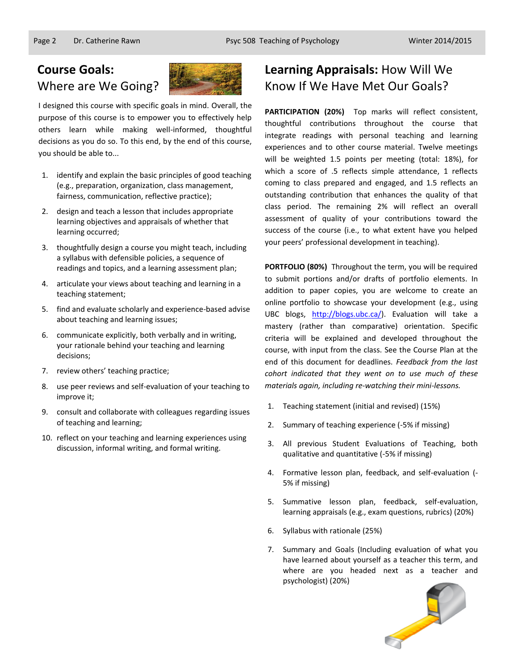# **Course Goals:**  Where are We Going?



I designed this course with specific goals in mind. Overall, the purpose of this course is to empower you to effectively help others learn while making well-informed, thoughtful decisions as you do so. To this end, by the end of this course, you should be able to...

- 1. identify and explain the basic principles of good teaching (e.g., preparation, organization, class management, fairness, communication, reflective practice);
- 2. design and teach a lesson that includes appropriate learning objectives and appraisals of whether that learning occurred;
- 3. thoughtfully design a course you might teach, including a syllabus with defensible policies, a sequence of readings and topics, and a learning assessment plan;
- 4. articulate your views about teaching and learning in a teaching statement;
- 5. find and evaluate scholarly and experience-based advise about teaching and learning issues;
- 6. communicate explicitly, both verbally and in writing, your rationale behind your teaching and learning decisions;
- 7. review others' teaching practice;
- 8. use peer reviews and self-evaluation of your teaching to improve it;
- 9. consult and collaborate with colleagues regarding issues of teaching and learning;
- 10. reflect on your teaching and learning experiences using discussion, informal writing, and formal writing.

# **Learning Appraisals:** How Will We Know If We Have Met Our Goals?

**PARTICIPATION (20%)** Top marks will reflect consistent, thoughtful contributions throughout the course that integrate readings with personal teaching and learning experiences and to other course material. Twelve meetings will be weighted 1.5 points per meeting (total: 18%), for which a score of .5 reflects simple attendance, 1 reflects coming to class prepared and engaged, and 1.5 reflects an outstanding contribution that enhances the quality of that class period. The remaining 2% will reflect an overall assessment of quality of your contributions toward the success of the course (i.e., to what extent have you helped your peers' professional development in teaching).

**PORTFOLIO (80%)** Throughout the term, you will be required to submit portions and/or drafts of portfolio elements. In addition to paper copies, you are welcome to create an online portfolio to showcase your development (e.g., using UBC blogs, [http://blogs.ubc.ca/\)](http://blogs.ubc.ca/). Evaluation will take a mastery (rather than comparative) orientation. Specific criteria will be explained and developed throughout the course, with input from the class. See the Course Plan at the end of this document for deadlines. *Feedback from the last cohort indicated that they went on to use much of these materials again, including re-watching their mini-lessons.*

- 1. Teaching statement (initial and revised) (15%)
- 2. Summary of teaching experience (-5% if missing)
- 3. All previous Student Evaluations of Teaching, both qualitative and quantitative (-5% if missing)
- 4. Formative lesson plan, feedback, and self-evaluation (- 5% if missing)
- 5. Summative lesson plan, feedback, self-evaluation, learning appraisals (e.g., exam questions, rubrics) (20%)
- 6. Syllabus with rationale (25%)
- 7. Summary and Goals (Including evaluation of what you have learned about yourself as a teacher this term, and where are you headed next as a teacher and psychologist) (20%)

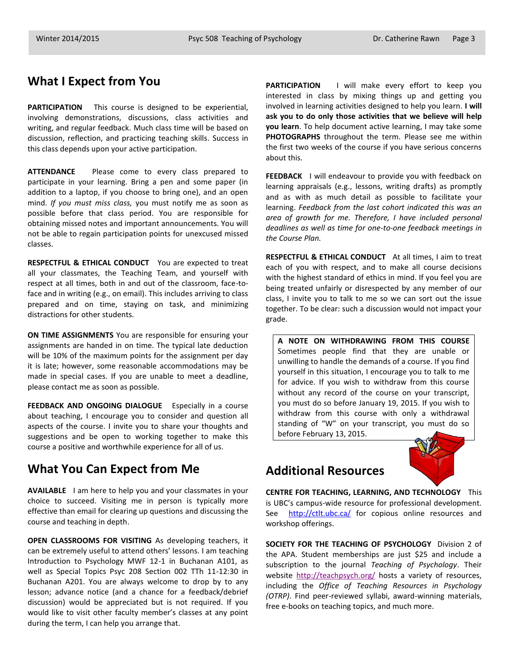### **What I Expect from You**

**PARTICIPATION** This course is designed to be experiential, involving demonstrations, discussions, class activities and writing, and regular feedback. Much class time will be based on discussion, reflection, and practicing teaching skills. Success in this class depends upon your active participation.

**ATTENDANCE** Please come to every class prepared to participate in your learning. Bring a pen and some paper (in addition to a laptop, if you choose to bring one), and an open mind. *If you must miss class,* you must notify me as soon as possible before that class period. You are responsible for obtaining missed notes and important announcements. You will not be able to regain participation points for unexcused missed classes.

**RESPECTFUL & ETHICAL CONDUCT** You are expected to treat all your classmates, the Teaching Team, and yourself with respect at all times, both in and out of the classroom, face-toface and in writing (e.g., on email). This includes arriving to class prepared and on time, staying on task, and minimizing distractions for other students.

**ON TIME ASSIGNMENTS** You are responsible for ensuring your assignments are handed in on time. The typical late deduction will be 10% of the maximum points for the assignment per day it is late; however, some reasonable accommodations may be made in special cases. If you are unable to meet a deadline, please contact me as soon as possible.

**FEEDBACK AND ONGOING DIALOGUE** Especially in a course about teaching, I encourage you to consider and question all aspects of the course. I invite you to share your thoughts and suggestions and be open to working together to make this course a positive and worthwhile experience for all of us.

#### **What You Can Expect from Me**

**AVAILABLE** I am here to help you and your classmates in your choice to succeed. Visiting me in person is typically more effective than email for clearing up questions and discussing the course and teaching in depth.

**OPEN CLASSROOMS FOR VISITING** As developing teachers, it can be extremely useful to attend others' lessons. I am teaching Introduction to Psychology MWF 12-1 in Buchanan A101, as well as Special Topics Psyc 208 Section 002 TTh 11-12:30 in Buchanan A201. You are always welcome to drop by to any lesson; advance notice (and a chance for a feedback/debrief discussion) would be appreciated but is not required. If you would like to visit other faculty member's classes at any point during the term, I can help you arrange that.

**PARTICIPATION** I will make every effort to keep you interested in class by mixing things up and getting you involved in learning activities designed to help you learn. **I will ask you to do only those activities that we believe will help you learn**. To help document active learning, I may take some **PHOTOGRAPHS** throughout the term. Please see me within the first two weeks of the course if you have serious concerns about this.

**FEEDBACK** I will endeavour to provide you with feedback on learning appraisals (e.g., lessons, writing drafts) as promptly and as with as much detail as possible to facilitate your learning. *Feedback from the last cohort indicated this was an area of growth for me. Therefore, I have included personal deadlines as well as time for one-to-one feedback meetings in the Course Plan.*

**RESPECTFUL & ETHICAL CONDUCT** At all times, I aim to treat each of you with respect, and to make all course decisions with the highest standard of ethics in mind. If you feel you are being treated unfairly or disrespected by any member of our class, I invite you to talk to me so we can sort out the issue together. To be clear: such a discussion would not impact your grade.

**A NOTE ON WITHDRAWING FROM THIS COURSE**  Sometimes people find that they are unable or unwilling to handle the demands of a course. If you find yourself in this situation, I encourage you to talk to me for advice. If you wish to withdraw from this course without any record of the course on your transcript, you must do so before January 19, 2015. If you wish to withdraw from this course with only a withdrawal standing of "W" on your transcript, you must do so before February 13, 2015.

# **Additional Resources**



**CENTRE FOR TEACHING, LEARNING, AND TECHNOLOGY** This is UBC's campus-wide resource for professional development. See <http://ctlt.ubc.ca/> for copious online resources and workshop offerings.

**SOCIETY FOR THE TEACHING OF PSYCHOLOGY** Division 2 of the APA. Student memberships are just \$25 and include a subscription to the journal *Teaching of Psychology*. Their website<http://teachpsych.org/> hosts a variety of resources, including the *Office of Teaching Resources in Psychology (OTRP)*. Find peer-reviewed syllabi, award-winning materials, free e-books on teaching topics, and much more.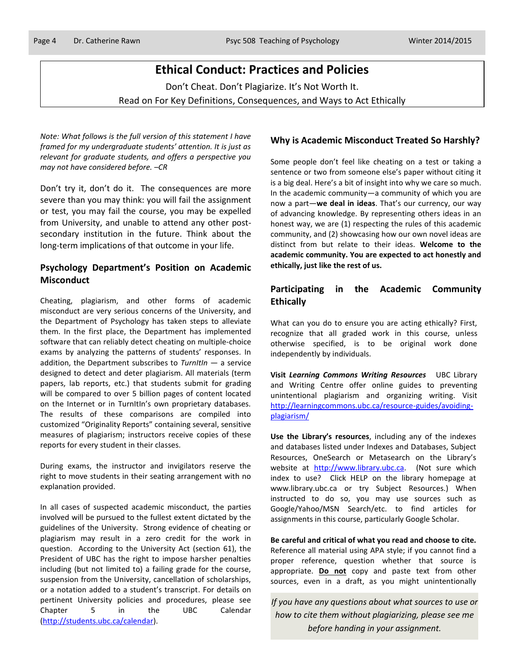### **Ethical Conduct: Practices and Policies**

Don't Cheat. Don't Plagiarize. It's Not Worth It.

Read on For Key Definitions, Consequences, and Ways to Act Ethically

*Note: What follows is the full version of this statement I have framed for my undergraduate students' attention. It is just as relevant for graduate students, and offers a perspective you may not have considered before. –CR* 

Don't try it, don't do it. The consequences are more severe than you may think: you will fail the assignment or test, you may fail the course, you may be expelled from University, and unable to attend any other postsecondary institution in the future. Think about the long-term implications of that outcome in your life.

#### **Psychology Department's Position on Academic Misconduct**

Cheating, plagiarism, and other forms of academic misconduct are very serious concerns of the University, and the Department of Psychology has taken steps to alleviate them. In the first place, the Department has implemented software that can reliably detect cheating on multiple-choice exams by analyzing the patterns of students' responses. In addition, the Department subscribes to *TurnItIn* — a service designed to detect and deter plagiarism. All materials (term papers, lab reports, etc.) that students submit for grading will be compared to over 5 billion pages of content located on the Internet or in TurnItIn's own proprietary databases. The results of these comparisons are compiled into customized "Originality Reports" containing several, sensitive measures of plagiarism; instructors receive copies of these reports for every student in their classes.

During exams, the instructor and invigilators reserve the right to move students in their seating arrangement with no explanation provided.

In all cases of suspected academic misconduct, the parties involved will be pursued to the fullest extent dictated by the guidelines of the University. Strong evidence of cheating or plagiarism may result in a zero credit for the work in question. According to the University Act (section 61), the President of UBC has the right to impose harsher penalties including (but not limited to) a failing grade for the course, suspension from the University, cancellation of scholarships, or a notation added to a student's transcript. For details on pertinent University policies and procedures, please see Chapter 5 in the UBC Calendar [\(http://students.ubc.ca/calendar\)](http://students.ubc.ca/calendar).

#### **Why is Academic Misconduct Treated So Harshly?**

Some people don't feel like cheating on a test or taking a sentence or two from someone else's paper without citing it is a big deal. Here's a bit of insight into why we care so much. In the academic community—a community of which you are now a part—**we deal in ideas**. That's our currency, our way of advancing knowledge. By representing others ideas in an honest way, we are (1) respecting the rules of this academic community, and (2) showcasing how our own novel ideas are distinct from but relate to their ideas. **Welcome to the academic community. You are expected to act honestly and ethically, just like the rest of us.**

#### **Participating in the Academic Community Ethically**

What can you do to ensure you are acting ethically? First, recognize that all graded work in this course, unless otherwise specified, is to be original work done independently by individuals.

**Visit** *Learning Commons Writing Resources* UBC Library and Writing Centre offer online guides to preventing unintentional plagiarism and organizing writing. Visit [http://learningcommons.ubc.ca/resource-guides/avoiding](http://learningcommons.ubc.ca/resource-guides/avoiding-plagiarism/)[plagiarism/](http://learningcommons.ubc.ca/resource-guides/avoiding-plagiarism/)

**Use the Library's resources**, including any of the indexes and databases listed under Indexes and Databases, Subject Resources, OneSearch or Metasearch on the Library's website at [http://www.library.ubc.ca.](http://www.library.ubc.ca/) (Not sure which index to use? Click HELP on the library homepage at www.library.ubc.ca or try Subject Resources.) When instructed to do so, you may use sources such as Google/Yahoo/MSN Search/etc. to find articles for assignments in this course, particularly Google Scholar.

**Be careful and critical of what you read and choose to cite.** Reference all material using APA style; if you cannot find a proper reference, question whether that source is appropriate. **Do not** copy and paste text from other sources, even in a draft, as you might unintentionally

If you have any questions about what sources to use or *how to cite them without plagiarizing, please see me before handing in your assignment.*